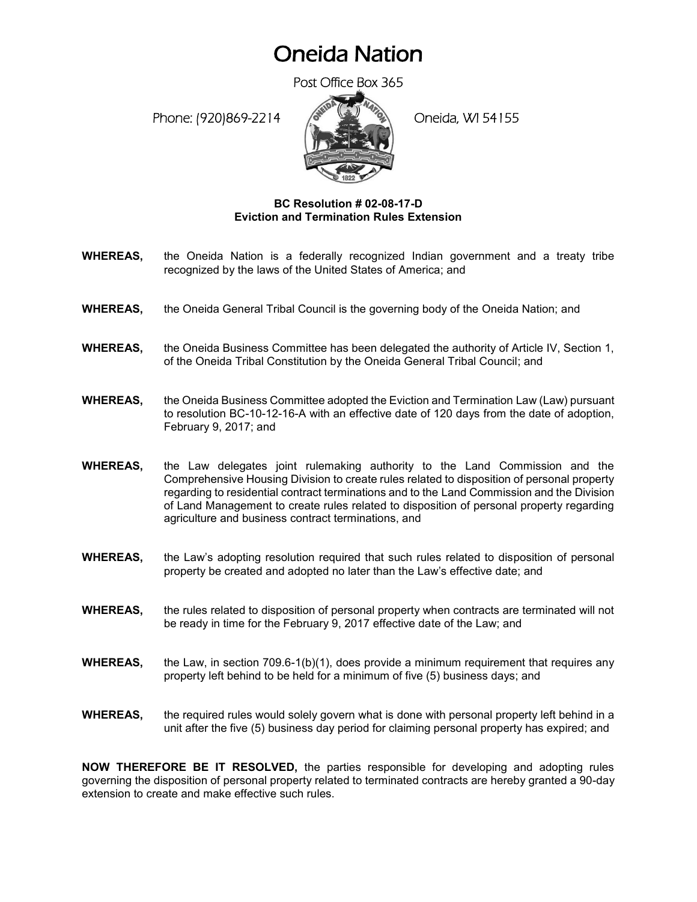## Oneida Nation

Post Office Box 365

Phone: (920)869-2214 (Oneida, WI 54155



## **BC Resolution # 02-08-17-D Eviction and Termination Rules Extension**

- **WHEREAS,** the Oneida Nation is a federally recognized Indian government and a treaty tribe recognized by the laws of the United States of America; and
- **WHEREAS,** the Oneida General Tribal Council is the governing body of the Oneida Nation; and
- **WHEREAS,** the Oneida Business Committee has been delegated the authority of Article IV, Section 1, of the Oneida Tribal Constitution by the Oneida General Tribal Council; and
- **WHEREAS,** the Oneida Business Committee adopted the Eviction and Termination Law (Law) pursuant to resolution BC-10-12-16-A with an effective date of 120 days from the date of adoption, February 9, 2017; and
- **WHEREAS,** the Law delegates joint rulemaking authority to the Land Commission and the Comprehensive Housing Division to create rules related to disposition of personal property regarding to residential contract terminations and to the Land Commission and the Division of Land Management to create rules related to disposition of personal property regarding agriculture and business contract terminations, and
- **WHEREAS,** the Law's adopting resolution required that such rules related to disposition of personal property be created and adopted no later than the Law's effective date; and
- **WHEREAS,** the rules related to disposition of personal property when contracts are terminated will not be ready in time for the February 9, 2017 effective date of the Law; and
- **WHEREAS,** the Law, in section 709.6-1(b)(1), does provide a minimum requirement that requires any property left behind to be held for a minimum of five (5) business days; and
- **WHEREAS,** the required rules would solely govern what is done with personal property left behind in a unit after the five (5) business day period for claiming personal property has expired; and

**NOW THEREFORE BE IT RESOLVED,** the parties responsible for developing and adopting rules governing the disposition of personal property related to terminated contracts are hereby granted a 90-day extension to create and make effective such rules.